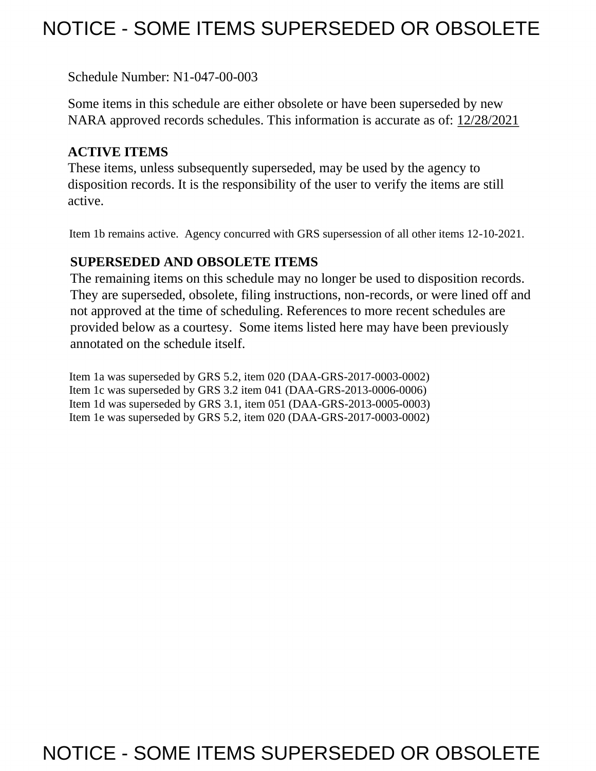# NOTICE - SOME ITEMS SUPERSEDED OR OBSOLETE

Schedule Number: N1-047-00-003

 Some items in this schedule are either obsolete or have been superseded by new NARA approved records schedules. This information is accurate as of: 12/28/2021

## **ACTIVE ITEMS**

 These items, unless subsequently superseded, may be used by the agency to disposition records. It is the responsibility of the user to verify the items are still active.

Item 1b remains active. Agency concurred with GRS supersession of all other items 12-10-2021.

## **SUPERSEDED AND OBSOLETE ITEMS**

 The remaining items on this schedule may no longer be used to disposition records. not approved at the time of scheduling. References to more recent schedules are provided below as a courtesy. Some items listed here may have been previously They are superseded, obsolete, filing instructions, non-records, or were lined off and annotated on the schedule itself.

Item 1a was superseded by GRS 5.2, item 020 (DAA-GRS-2017-0003-0002) Item 1c was superseded by GRS 3.2 item 041 (DAA-GRS-2013-0006-0006) Item 1d was superseded by GRS 3.1, item 051 (DAA-GRS-2013-0005-0003) Item 1e was superseded by GRS 5.2, item 020 (DAA-GRS-2017-0003-0002)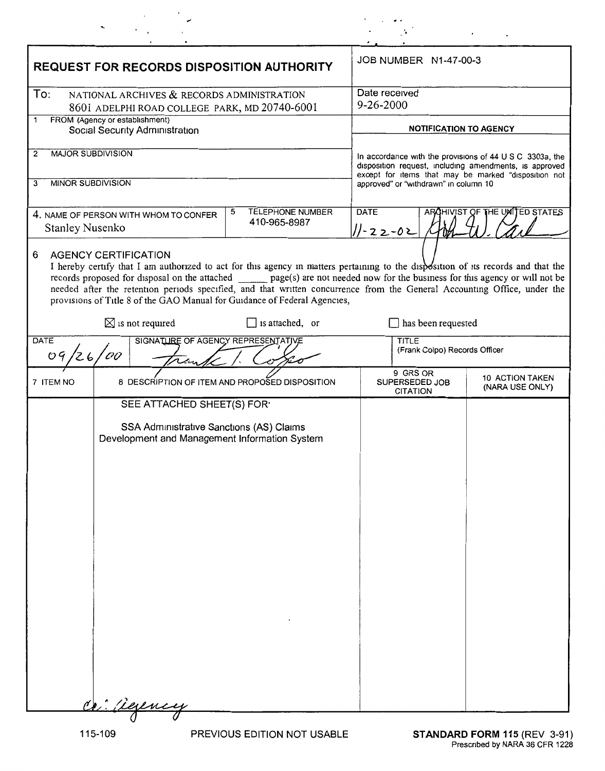| <b>REQUEST FOR RECORDS DISPOSITION AUTHORITY</b>                                                                                                                                                                                                                                                                                                                                                                                                                                                                   | JOB NUMBER N1-47-00-3                                                                                                                                                                                               |                                           |
|--------------------------------------------------------------------------------------------------------------------------------------------------------------------------------------------------------------------------------------------------------------------------------------------------------------------------------------------------------------------------------------------------------------------------------------------------------------------------------------------------------------------|---------------------------------------------------------------------------------------------------------------------------------------------------------------------------------------------------------------------|-------------------------------------------|
| To:<br>NATIONAL ARCHIVES & RECORDS ADMINISTRATION<br>8601 ADELPHI ROAD COLLEGE PARK, MD 20740-6001                                                                                                                                                                                                                                                                                                                                                                                                                 | Date received<br>9-26-2000                                                                                                                                                                                          |                                           |
| FROM (Agency or establishment)<br>1<br>Social Security Administration                                                                                                                                                                                                                                                                                                                                                                                                                                              | <b>NOTIFICATION TO AGENCY</b>                                                                                                                                                                                       |                                           |
| <b>MAJOR SUBDIVISION</b><br>2<br><b>MINOR SUBDIVISION</b><br>3                                                                                                                                                                                                                                                                                                                                                                                                                                                     | In accordance with the provisions of 44 U S C 3303a, the<br>disposition request, including amendments, is approved<br>except for items that may be marked "disposition not<br>approved" or "withdrawn" in column 10 |                                           |
| <b>TELEPHONE NUMBER</b><br>5<br>4. NAME OF PERSON WITH WHOM TO CONFER<br>410-965-8987<br><b>Stanley Nusenko</b>                                                                                                                                                                                                                                                                                                                                                                                                    | <b>DATE</b><br>11-22-02                                                                                                                                                                                             | ARCHIVIST OF THE UNITED STATES            |
| <b>AGENCY CERTIFICATION</b><br>6<br>I hereby certify that I am authorized to act for this agency in matters pertaining to the disposition of its records and that the<br>records proposed for disposal on the attached _______ page(s) are not needed now for the business for this agency or will not be<br>needed after the retention periods specified, and that written concurrence from the General Accounting Office, under the<br>provisions of Title 8 of the GAO Manual for Guidance of Federal Agencies, |                                                                                                                                                                                                                     |                                           |
| $\boxtimes$ is not required<br>is attached, or                                                                                                                                                                                                                                                                                                                                                                                                                                                                     | has been requested                                                                                                                                                                                                  |                                           |
| SIGNATURE OF AGENCY REPRESENTATIVE<br>TITLE<br><b>DATE</b><br>(Frank Colpo) Records Officer<br>'DÜ<br>O <sub>9</sub>                                                                                                                                                                                                                                                                                                                                                                                               |                                                                                                                                                                                                                     |                                           |
| 8 DESCRIPTION OF ITEM AND PROPOSED DISPOSITION<br>7 ITEM NO                                                                                                                                                                                                                                                                                                                                                                                                                                                        | 9 GRS OR<br>SUPERSEDED JOB<br><b>CITATION</b>                                                                                                                                                                       | <b>10 ACTION TAKEN</b><br>(NARA USE ONLY) |
| SEE ATTACHED SHEET(S) FOR.<br>SSA Administrative Sanctions (AS) Claims<br>Development and Management Information System<br>co: aegency                                                                                                                                                                                                                                                                                                                                                                             |                                                                                                                                                                                                                     |                                           |

 $\cdot$ 

 $\sim$   $\sim$   $\sim$  $\sim$  100  $\mu$ 

 $\mathcal{F}^{\text{max}}_{\text{max}}$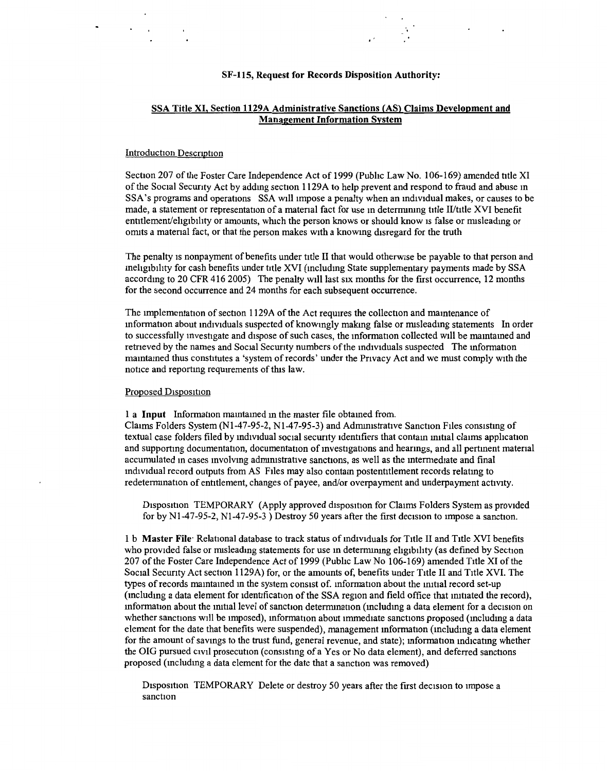#### **SF-115, Request for Records Disposition Authority:**

### **SSA Title XI, Section 1129A Administrative Sanctions (AS) Claims Development and Management Information System**

#### **Introduction Description**

Section 207 of the Foster Care Independence Act of 1999 (Pubhc Law No. 106-169) amended title XI of the Social Secunty Act by addmg section 1129A to help prevent and respond to fraud and abuse m SSA's programs and operations SSA will impose a penalty when an individual makes, or causes to be made, a statement or representation of a matenal fact for use m detenrumng title II/title XVI benefit entitlement/eligibility or amounts, which the person knows or should know is false or misleading or omits a material fact, or that the person makes with a knowing disregard for the truth

The penalty 1s nonpayment of benefits under title II that would otherwise be payable to that person and meligibility for cash benefits under title XVI (including State supplementary payments made by SSA accordmg to 20 CFR 416 2005) The penalty will last six months for the first occurrence, 12 months for the second occurrence and 24 months for each subsequent occurrence.

The implementation of section 1129A of the Act requires the collection and maintenance of mformation about individuals suspected of knowingly making false or misleading statements In order to successfully investigate and dispose of such cases, the information collected will be maintained and retrieved by the names and Social Security numbers of the individuals suspected The information mamtamed thus constitutes a 'system ofrecords' under the Pnvacy Act and we must comply with the notice and reporting requirements of this law.

#### Proposed Disposition

1 a **Input** Information maintained in the master file obtained from.

Claims Folders System (N1-47-95-2, N1-47-95-3) and Administrative Sanction Files consisting of textual case folders filed by md1v1dual social secunty identifiers that contam m1tial claims apphcatton and supporting documentation, documentation of investigations and hearings, and all pertinent material accumulated in cases involving administrative sanctions, as well as the intermediate and final md1v1dual record outputs from AS FIies may also contam postentitlement records relatmg to redetenrunatton of entitlement, changes of payee, and/or overpayment and underpayment activity.

Disposition TEMPORARY (Apply approved disposition for Claims Folders System as provided for by  $N1-47-95-2$ ,  $N1-47-95-3$ ) Destroy 50 years after the first decision to impose a sanction.

1 b **Master File·** Relational database to track status of md1v1duals for Title II and Title XVI benefits who provided false or misleading statements for use in determining eligibility (as defined by Section 207 of the Foster Care Independence Act of 1999 (Pubhc Law No 106-169) amended Title XI of the Social Secunty Act section 1129A) for, or the amounts of, benefits under Title II and Title XVI. The types of records maintained in the system consist of. information about the initial record set-up (mcludmg a data element for 1dent1fication of the SSA region and field office that 1mtiated the record), information about the initial level of sanction determination (including a data element for a decision on whether sanctions will be imposed), information about immediate sanctions proposed (including a data element for the date that benefits were suspended), management mfonnation (mcludmg a data element for the amount of savings to the trust fund, general revenue, and state); information indicating whether the OIG pursued civil prosecution (consisting of a Yes or No data element), and deferred sanctions proposed ( mcludmg a data element for the date that a sanction was removed)

Disposition TEMPORARY Delete or destroy 50 years after the first decision to impose a sanction